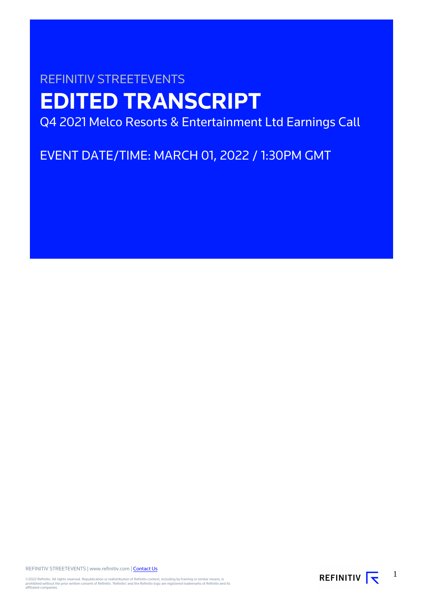# REFINITIV STREETEVENTS **EDITED TRANSCRIPT** Q4 2021 Melco Resorts & Entertainment Ltd Earnings Call

EVENT DATE/TIME: MARCH 01, 2022 / 1:30PM GMT

REFINITIV STREETEVENTS | www.refinitiv.com | [Contact Us](https://www.refinitiv.com/en/contact-us)

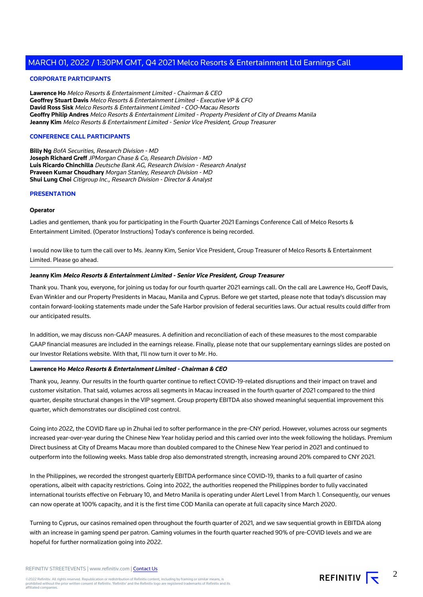# **CORPORATE PARTICIPANTS**

**Lawrence Ho** Melco Resorts & Entertainment Limited - Chairman & CEO **Geoffrey Stuart Davis** Melco Resorts & Entertainment Limited - Executive VP & CFO **David Ross Sisk** Melco Resorts & Entertainment Limited - COO-Macau Resorts **Geoffry Philip Andres** Melco Resorts & Entertainment Limited - Property President of City of Dreams Manila **Jeanny Kim** Melco Resorts & Entertainment Limited - Senior Vice President, Group Treasurer

# **CONFERENCE CALL PARTICIPANTS**

**Billy Ng** BofA Securities, Research Division - MD **Joseph Richard Greff** JPMorgan Chase & Co, Research Division - MD **Luis Ricardo Chinchilla** Deutsche Bank AG, Research Division - Research Analyst **Praveen Kumar Choudhary** Morgan Stanley, Research Division - MD **Shui Lung Choi** Citigroup Inc., Research Division - Director & Analyst

#### **PRESENTATION**

#### **Operator**

Ladies and gentlemen, thank you for participating in the Fourth Quarter 2021 Earnings Conference Call of Melco Resorts & Entertainment Limited. (Operator Instructions) Today's conference is being recorded.

I would now like to turn the call over to Ms. Jeanny Kim, Senior Vice President, Group Treasurer of Melco Resorts & Entertainment Limited. Please go ahead.

# **Jeanny Kim Melco Resorts & Entertainment Limited - Senior Vice President, Group Treasurer**

Thank you. Thank you, everyone, for joining us today for our fourth quarter 2021 earnings call. On the call are Lawrence Ho, Geoff Davis, Evan Winkler and our Property Presidents in Macau, Manila and Cyprus. Before we get started, please note that today's discussion may contain forward-looking statements made under the Safe Harbor provision of federal securities laws. Our actual results could differ from our anticipated results.

In addition, we may discuss non-GAAP measures. A definition and reconciliation of each of these measures to the most comparable GAAP financial measures are included in the earnings release. Finally, please note that our supplementary earnings slides are posted on our Investor Relations website. With that, I'll now turn it over to Mr. Ho.

# **Lawrence Ho Melco Resorts & Entertainment Limited - Chairman & CEO**

Thank you, Jeanny. Our results in the fourth quarter continue to reflect COVID-19-related disruptions and their impact on travel and customer visitation. That said, volumes across all segments in Macau increased in the fourth quarter of 2021 compared to the third quarter, despite structural changes in the VIP segment. Group property EBITDA also showed meaningful sequential improvement this quarter, which demonstrates our disciplined cost control.

Going into 2022, the COVID flare up in Zhuhai led to softer performance in the pre-CNY period. However, volumes across our segments increased year-over-year during the Chinese New Year holiday period and this carried over into the week following the holidays. Premium Direct business at City of Dreams Macau more than doubled compared to the Chinese New Year period in 2021 and continued to outperform into the following weeks. Mass table drop also demonstrated strength, increasing around 20% compared to CNY 2021.

In the Philippines, we recorded the strongest quarterly EBITDA performance since COVID-19, thanks to a full quarter of casino operations, albeit with capacity restrictions. Going into 2022, the authorities reopened the Philippines border to fully vaccinated international tourists effective on February 10, and Metro Manila is operating under Alert Level 1 from March 1. Consequently, our venues can now operate at 100% capacity, and it is the first time COD Manila can operate at full capacity since March 2020.

Turning to Cyprus, our casinos remained open throughout the fourth quarter of 2021, and we saw sequential growth in EBITDA along with an increase in gaming spend per patron. Gaming volumes in the fourth quarter reached 90% of pre-COVID levels and we are hopeful for further normalization going into 2022.

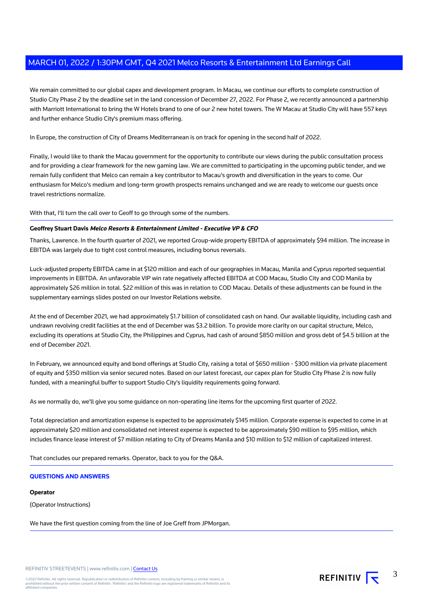We remain committed to our global capex and development program. In Macau, we continue our efforts to complete construction of Studio City Phase 2 by the deadline set in the land concession of December 27, 2022. For Phase 2, we recently announced a partnership with Marriott International to bring the W Hotels brand to one of our 2 new hotel towers. The W Macau at Studio City will have 557 keys and further enhance Studio City's premium mass offering.

In Europe, the construction of City of Dreams Mediterranean is on track for opening in the second half of 2022.

Finally, I would like to thank the Macau government for the opportunity to contribute our views during the public consultation process and for providing a clear framework for the new gaming law. We are committed to participating in the upcoming public tender, and we remain fully confident that Melco can remain a key contributor to Macau's growth and diversification in the years to come. Our enthusiasm for Melco's medium and long-term growth prospects remains unchanged and we are ready to welcome our guests once travel restrictions normalize.

With that, I'll turn the call over to Geoff to go through some of the numbers.

# **Geoffrey Stuart Davis Melco Resorts & Entertainment Limited - Executive VP & CFO**

Thanks, Lawrence. In the fourth quarter of 2021, we reported Group-wide property EBITDA of approximately \$94 million. The increase in EBITDA was largely due to tight cost control measures, including bonus reversals.

Luck-adjusted property EBITDA came in at \$120 million and each of our geographies in Macau, Manila and Cyprus reported sequential improvements in EBITDA. An unfavorable VIP win rate negatively affected EBITDA at COD Macau, Studio City and COD Manila by approximately \$26 million in total. \$22 million of this was in relation to COD Macau. Details of these adjustments can be found in the supplementary earnings slides posted on our Investor Relations website.

At the end of December 2021, we had approximately \$1.7 billion of consolidated cash on hand. Our available liquidity, including cash and undrawn revolving credit facilities at the end of December was \$3.2 billion. To provide more clarity on our capital structure, Melco, excluding its operations at Studio City, the Philippines and Cyprus, had cash of around \$850 million and gross debt of \$4.5 billion at the end of December 2021.

In February, we announced equity and bond offerings at Studio City, raising a total of \$650 million - \$300 million via private placement of equity and \$350 million via senior secured notes. Based on our latest forecast, our capex plan for Studio City Phase 2 is now fully funded, with a meaningful buffer to support Studio City's liquidity requirements going forward.

As we normally do, we'll give you some guidance on non-operating line items for the upcoming first quarter of 2022.

Total depreciation and amortization expense is expected to be approximately \$145 million. Corporate expense is expected to come in at approximately \$20 million and consolidated net interest expense is expected to be approximately \$90 million to \$95 million, which includes finance lease interest of \$7 million relating to City of Dreams Manila and \$10 million to \$12 million of capitalized interest.

That concludes our prepared remarks. Operator, back to you for the Q&A.

# **QUESTIONS AND ANSWERS**

#### **Operator**

(Operator Instructions)

We have the first question coming from the line of Joe Greff from JPMorgan.

REFINITIV STREETEVENTS | www.refinitiv.com | [Contact Us](https://www.refinitiv.com/en/contact-us)

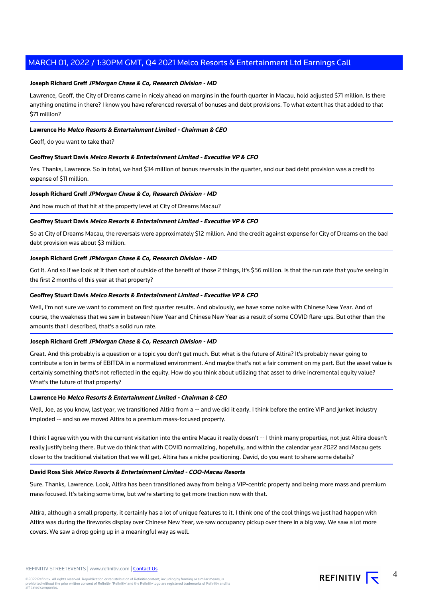# **Joseph Richard Greff JPMorgan Chase & Co, Research Division - MD**

Lawrence, Geoff, the City of Dreams came in nicely ahead on margins in the fourth quarter in Macau, hold adjusted \$71 million. Is there anything onetime in there? I know you have referenced reversal of bonuses and debt provisions. To what extent has that added to that \$71 million?

# **Lawrence Ho Melco Resorts & Entertainment Limited - Chairman & CEO**

Geoff, do you want to take that?

# **Geoffrey Stuart Davis Melco Resorts & Entertainment Limited - Executive VP & CFO**

Yes. Thanks, Lawrence. So in total, we had \$34 million of bonus reversals in the quarter, and our bad debt provision was a credit to expense of \$11 million.

#### **Joseph Richard Greff JPMorgan Chase & Co, Research Division - MD**

And how much of that hit at the property level at City of Dreams Macau?

# **Geoffrey Stuart Davis Melco Resorts & Entertainment Limited - Executive VP & CFO**

So at City of Dreams Macau, the reversals were approximately \$12 million. And the credit against expense for City of Dreams on the bad debt provision was about \$3 million.

# **Joseph Richard Greff JPMorgan Chase & Co, Research Division - MD**

Got it. And so if we look at it then sort of outside of the benefit of those 2 things, it's \$56 million. Is that the run rate that you're seeing in the first 2 months of this year at that property?

## **Geoffrey Stuart Davis Melco Resorts & Entertainment Limited - Executive VP & CFO**

Well, I'm not sure we want to comment on first quarter results. And obviously, we have some noise with Chinese New Year. And of course, the weakness that we saw in between New Year and Chinese New Year as a result of some COVID flare-ups. But other than the amounts that I described, that's a solid run rate.

#### **Joseph Richard Greff JPMorgan Chase & Co, Research Division - MD**

Great. And this probably is a question or a topic you don't get much. But what is the future of Altira? It's probably never going to contribute a ton in terms of EBITDA in a normalized environment. And maybe that's not a fair comment on my part. But the asset value is certainly something that's not reflected in the equity. How do you think about utilizing that asset to drive incremental equity value? What's the future of that property?

#### **Lawrence Ho Melco Resorts & Entertainment Limited - Chairman & CEO**

Well, Joe, as you know, last year, we transitioned Altira from a -- and we did it early. I think before the entire VIP and junket industry imploded -- and so we moved Altira to a premium mass-focused property.

I think I agree with you with the current visitation into the entire Macau it really doesn't -- I think many properties, not just Altira doesn't really justify being there. But we do think that with COVID normalizing, hopefully, and within the calendar year 2022 and Macau gets closer to the traditional visitation that we will get, Altira has a niche positioning. David, do you want to share some details?

# **David Ross Sisk Melco Resorts & Entertainment Limited - COO-Macau Resorts**

Sure. Thanks, Lawrence. Look, Altira has been transitioned away from being a VIP-centric property and being more mass and premium mass focused. It's taking some time, but we're starting to get more traction now with that.

Altira, although a small property, it certainly has a lot of unique features to it. I think one of the cool things we just had happen with Altira was during the fireworks display over Chinese New Year, we saw occupancy pickup over there in a big way. We saw a lot more covers. We saw a drop going up in a meaningful way as well.

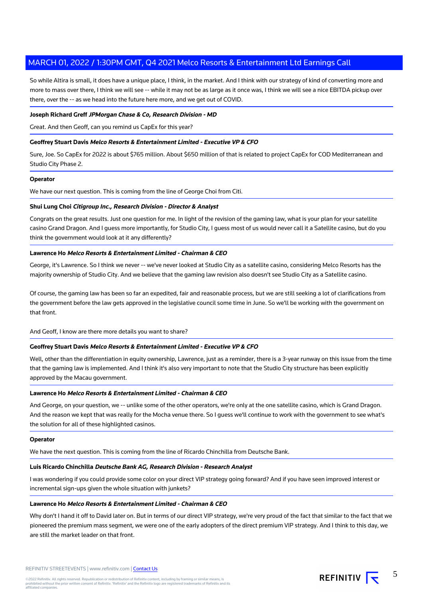So while Altira is small, it does have a unique place, I think, in the market. And I think with our strategy of kind of converting more and more to mass over there, I think we will see -- while it may not be as large as it once was, I think we will see a nice EBITDA pickup over there, over the -- as we head into the future here more, and we get out of COVID.

## **Joseph Richard Greff JPMorgan Chase & Co, Research Division - MD**

Great. And then Geoff, can you remind us CapEx for this year?

# **Geoffrey Stuart Davis Melco Resorts & Entertainment Limited - Executive VP & CFO**

Sure, Joe. So CapEx for 2022 is about \$765 million. About \$650 million of that is related to project CapEx for COD Mediterranean and Studio City Phase 2.

#### **Operator**

We have our next question. This is coming from the line of George Choi from Citi.

# **Shui Lung Choi Citigroup Inc., Research Division - Director & Analyst**

Congrats on the great results. Just one question for me. In light of the revision of the gaming law, what is your plan for your satellite casino Grand Dragon. And I guess more importantly, for Studio City, I guess most of us would never call it a Satellite casino, but do you think the government would look at it any differently?

# **Lawrence Ho Melco Resorts & Entertainment Limited - Chairman & CEO**

George, it's Lawrence. So I think we never -- we've never looked at Studio City as a satellite casino, considering Melco Resorts has the majority ownership of Studio City. And we believe that the gaming law revision also doesn't see Studio City as a Satellite casino.

Of course, the gaming law has been so far an expedited, fair and reasonable process, but we are still seeking a lot of clarifications from the government before the law gets approved in the legislative council some time in June. So we'll be working with the government on that front.

And Geoff, I know are there more details you want to share?

# **Geoffrey Stuart Davis Melco Resorts & Entertainment Limited - Executive VP & CFO**

Well, other than the differentiation in equity ownership, Lawrence, just as a reminder, there is a 3-year runway on this issue from the time that the gaming law is implemented. And I think it's also very important to note that the Studio City structure has been explicitly approved by the Macau government.

# **Lawrence Ho Melco Resorts & Entertainment Limited - Chairman & CEO**

And George, on your question, we -- unlike some of the other operators, we're only at the one satellite casino, which is Grand Dragon. And the reason we kept that was really for the Mocha venue there. So I guess we'll continue to work with the government to see what's the solution for all of these highlighted casinos.

#### **Operator**

We have the next question. This is coming from the line of Ricardo Chinchilla from Deutsche Bank.

#### **Luis Ricardo Chinchilla Deutsche Bank AG, Research Division - Research Analyst**

I was wondering if you could provide some color on your direct VIP strategy going forward? And if you have seen improved interest or incremental sign-ups given the whole situation with junkets?

# **Lawrence Ho Melco Resorts & Entertainment Limited - Chairman & CEO**

Why don't I hand it off to David later on. But in terms of our direct VIP strategy, we're very proud of the fact that similar to the fact that we pioneered the premium mass segment, we were one of the early adopters of the direct premium VIP strategy. And I think to this day, we are still the market leader on that front.

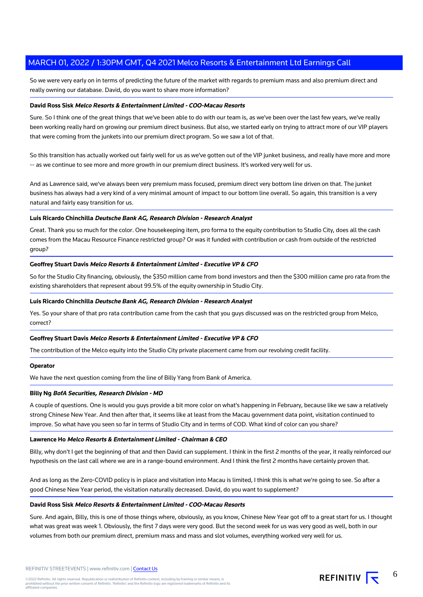So we were very early on in terms of predicting the future of the market with regards to premium mass and also premium direct and really owning our database. David, do you want to share more information?

# **David Ross Sisk Melco Resorts & Entertainment Limited - COO-Macau Resorts**

Sure. So I think one of the great things that we've been able to do with our team is, as we've been over the last few years, we've really been working really hard on growing our premium direct business. But also, we started early on trying to attract more of our VIP players that were coming from the junkets into our premium direct program. So we saw a lot of that.

So this transition has actually worked out fairly well for us as we've gotten out of the VIP junket business, and really have more and more -- as we continue to see more and more growth in our premium direct business. It's worked very well for us.

And as Lawrence said, we've always been very premium mass focused, premium direct very bottom line driven on that. The junket business has always had a very kind of a very minimal amount of impact to our bottom line overall. So again, this transition is a very natural and fairly easy transition for us.

# **Luis Ricardo Chinchilla Deutsche Bank AG, Research Division - Research Analyst**

Great. Thank you so much for the color. One housekeeping item, pro forma to the equity contribution to Studio City, does all the cash comes from the Macau Resource Finance restricted group? Or was it funded with contribution or cash from outside of the restricted group?

# **Geoffrey Stuart Davis Melco Resorts & Entertainment Limited - Executive VP & CFO**

So for the Studio City financing, obviously, the \$350 million came from bond investors and then the \$300 million came pro rata from the existing shareholders that represent about 99.5% of the equity ownership in Studio City.

## **Luis Ricardo Chinchilla Deutsche Bank AG, Research Division - Research Analyst**

Yes. So your share of that pro rata contribution came from the cash that you guys discussed was on the restricted group from Melco, correct?

# **Geoffrey Stuart Davis Melco Resorts & Entertainment Limited - Executive VP & CFO**

The contribution of the Melco equity into the Studio City private placement came from our revolving credit facility.

#### **Operator**

We have the next question coming from the line of Billy Yang from Bank of America.

#### **Billy Ng BofA Securities, Research Division - MD**

A couple of questions. One is would you guys provide a bit more color on what's happening in February, because like we saw a relatively strong Chinese New Year. And then after that, it seems like at least from the Macau government data point, visitation continued to improve. So what have you seen so far in terms of Studio City and in terms of COD. What kind of color can you share?

## **Lawrence Ho Melco Resorts & Entertainment Limited - Chairman & CEO**

Billy, why don't I get the beginning of that and then David can supplement. I think in the first 2 months of the year, it really reinforced our hypothesis on the last call where we are in a range-bound environment. And I think the first 2 months have certainly proven that.

And as long as the Zero-COVID policy is in place and visitation into Macau is limited, I think this is what we're going to see. So after a good Chinese New Year period, the visitation naturally decreased. David, do you want to supplement?

#### **David Ross Sisk Melco Resorts & Entertainment Limited - COO-Macau Resorts**

Sure. And again, Billy, this is one of those things where, obviously, as you know, Chinese New Year got off to a great start for us. I thought what was great was week 1. Obviously, the first 7 days were very good. But the second week for us was very good as well, both in our volumes from both our premium direct, premium mass and mass and slot volumes, everything worked very well for us.

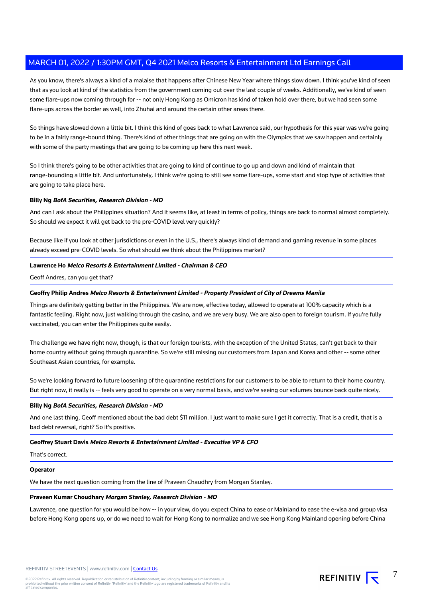As you know, there's always a kind of a malaise that happens after Chinese New Year where things slow down. I think you've kind of seen that as you look at kind of the statistics from the government coming out over the last couple of weeks. Additionally, we've kind of seen some flare-ups now coming through for -- not only Hong Kong as Omicron has kind of taken hold over there, but we had seen some flare-ups across the border as well, into Zhuhai and around the certain other areas there.

So things have slowed down a little bit. I think this kind of goes back to what Lawrence said, our hypothesis for this year was we're going to be in a fairly range-bound thing. There's kind of other things that are going on with the Olympics that we saw happen and certainly with some of the party meetings that are going to be coming up here this next week.

So I think there's going to be other activities that are going to kind of continue to go up and down and kind of maintain that range-bounding a little bit. And unfortunately, I think we're going to still see some flare-ups, some start and stop type of activities that are going to take place here.

# **Billy Ng BofA Securities, Research Division - MD**

And can I ask about the Philippines situation? And it seems like, at least in terms of policy, things are back to normal almost completely. So should we expect it will get back to the pre-COVID level very quickly?

Because like if you look at other jurisdictions or even in the U.S., there's always kind of demand and gaming revenue in some places already exceed pre-COVID levels. So what should we think about the Philippines market?

# **Lawrence Ho Melco Resorts & Entertainment Limited - Chairman & CEO**

Geoff Andres, can you get that?

# **Geoffry Philip Andres Melco Resorts & Entertainment Limited - Property President of City of Dreams Manila**

Things are definitely getting better in the Philippines. We are now, effective today, allowed to operate at 100% capacity which is a fantastic feeling. Right now, just walking through the casino, and we are very busy. We are also open to foreign tourism. If you're fully vaccinated, you can enter the Philippines quite easily.

The challenge we have right now, though, is that our foreign tourists, with the exception of the United States, can't get back to their home country without going through quarantine. So we're still missing our customers from Japan and Korea and other -- some other Southeast Asian countries, for example.

So we're looking forward to future loosening of the quarantine restrictions for our customers to be able to return to their home country. But right now, it really is -- feels very good to operate on a very normal basis, and we're seeing our volumes bounce back quite nicely.

#### **Billy Ng BofA Securities, Research Division - MD**

And one last thing, Geoff mentioned about the bad debt \$11 million. I just want to make sure I get it correctly. That is a credit, that is a bad debt reversal, right? So it's positive.

#### **Geoffrey Stuart Davis Melco Resorts & Entertainment Limited - Executive VP & CFO**

That's correct.

## **Operator**

We have the next question coming from the line of Praveen Chaudhry from Morgan Stanley.

#### **Praveen Kumar Choudhary Morgan Stanley, Research Division - MD**

Lawrence, one question for you would be how -- in your view, do you expect China to ease or Mainland to ease the e-visa and group visa before Hong Kong opens up, or do we need to wait for Hong Kong to normalize and we see Hong Kong Mainland opening before China